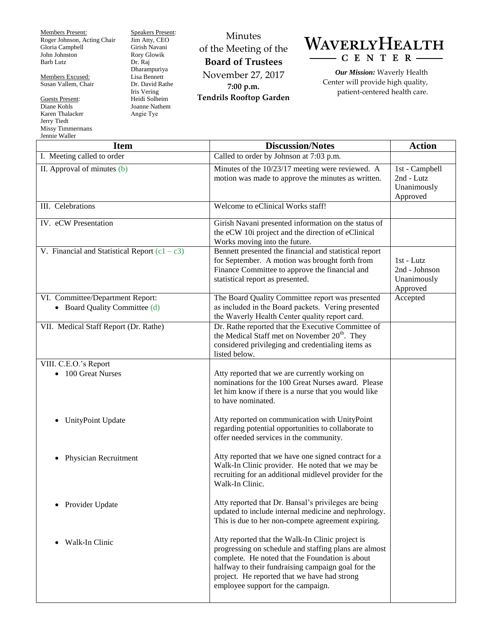Members Present: Roger Johnson, Acting Chair Gloria Campbell John Johnston Barb Lutz

Members Excused: Susan Vallem, Chair

Guests Present: Diane Kohls Karen Thalacker Jerry Tiedt Missy Timmermans  $\mathbf{W}$ all

Speakers Present: Jim Atty, CEO Girish Navani Rory Glowik Dr. Raj Dharampuriya Lisa Bennett Dr. David Rathe Iris Vering Heidi Solheim Joanne Nathem Angie Tye

Minutes of the Meeting of the **Board of Trustees** November 27, 2017 **7:00 p.m. Tendrils Rooftop Garden**

WAVERLYHEALTH  $-C E N T E R$ 

*Our Mission:* Waverly Health Center will provide high quality, patient-centered health care.

| Jennie waller<br><b>Item</b>                                      | <b>Discussion/Notes</b>                                                                                                                                                                                                                                                                                  | <b>Action</b>                                           |
|-------------------------------------------------------------------|----------------------------------------------------------------------------------------------------------------------------------------------------------------------------------------------------------------------------------------------------------------------------------------------------------|---------------------------------------------------------|
| I. Meeting called to order                                        | Called to order by Johnson at 7:03 p.m.                                                                                                                                                                                                                                                                  |                                                         |
| II. Approval of minutes (b)                                       | Minutes of the 10/23/17 meeting were reviewed. A<br>motion was made to approve the minutes as written.                                                                                                                                                                                                   | 1st - Campbell<br>2nd - Lutz<br>Unanimously<br>Approved |
| III. Celebrations                                                 | Welcome to eClinical Works staff!                                                                                                                                                                                                                                                                        |                                                         |
| IV. eCW Presentation                                              | Girish Navani presented information on the status of<br>the eCW 10i project and the direction of eClinical<br>Works moving into the future.                                                                                                                                                              |                                                         |
| V. Financial and Statistical Report $(c1 - c3)$                   | Bennett presented the financial and statistical report<br>for September. A motion was brought forth from<br>Finance Committee to approve the financial and<br>statistical report as presented.                                                                                                           | 1st - Lutz<br>2nd - Johnson<br>Unanimously<br>Approved  |
| VI. Committee/Department Report:<br>• Board Quality Committee (d) | The Board Quality Committee report was presented<br>as included in the Board packets. Vering presented<br>the Waverly Health Center quality report card.                                                                                                                                                 | Accepted                                                |
| VII. Medical Staff Report (Dr. Rathe)                             | Dr. Rathe reported that the Executive Committee of<br>the Medical Staff met on November $20th$ . They<br>considered privileging and credentialing items as<br>listed below.                                                                                                                              |                                                         |
| VIII. C.E.O.'s Report<br>• 100 Great Nurses                       | Atty reported that we are currently working on<br>nominations for the 100 Great Nurses award. Please<br>let him know if there is a nurse that you would like<br>to have nominated.                                                                                                                       |                                                         |
| UnityPoint Update                                                 | Atty reported on communication with UnityPoint<br>regarding potential opportunities to collaborate to<br>offer needed services in the community.                                                                                                                                                         |                                                         |
| Physician Recruitment<br>$\bullet$                                | Atty reported that we have one signed contract for a<br>Walk-In Clinic provider. He noted that we may be<br>recruiting for an additional midlevel provider for the<br>Walk-In Clinic.                                                                                                                    |                                                         |
| Provider Update                                                   | Atty reported that Dr. Bansal's privileges are being<br>updated to include internal medicine and nephrology.<br>This is due to her non-compete agreement expiring.                                                                                                                                       |                                                         |
| Walk-In Clinic                                                    | Atty reported that the Walk-In Clinic project is<br>progressing on schedule and staffing plans are almost<br>complete. He noted that the Foundation is about<br>halfway to their fundraising campaign goal for the<br>project. He reported that we have had strong<br>employee support for the campaign. |                                                         |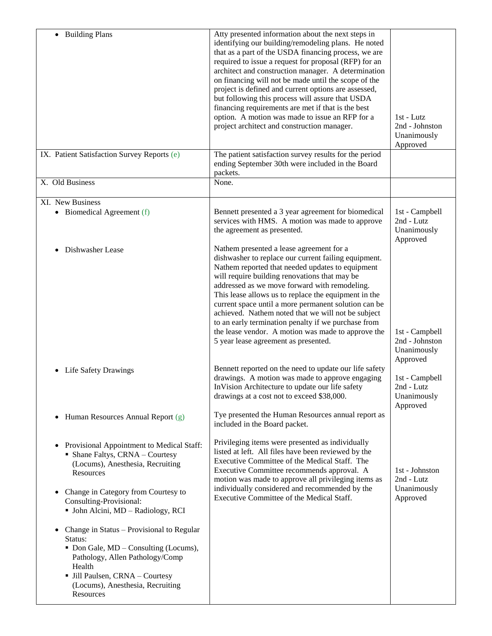| • Building Plans<br>IX. Patient Satisfaction Survey Reports (e)                                                                                                                                                                                                | Atty presented information about the next steps in<br>identifying our building/remodeling plans. He noted<br>that as a part of the USDA financing process, we are<br>required to issue a request for proposal (RFP) for an<br>architect and construction manager. A determination<br>on financing will not be made until the scope of the<br>project is defined and current options are assessed,<br>but following this process will assure that USDA<br>financing requirements are met if that is the best<br>option. A motion was made to issue an RFP for a<br>project architect and construction manager.<br>The patient satisfaction survey results for the period | 1st - Lutz<br>2nd - Johnston<br>Unanimously<br>Approved             |
|----------------------------------------------------------------------------------------------------------------------------------------------------------------------------------------------------------------------------------------------------------------|-------------------------------------------------------------------------------------------------------------------------------------------------------------------------------------------------------------------------------------------------------------------------------------------------------------------------------------------------------------------------------------------------------------------------------------------------------------------------------------------------------------------------------------------------------------------------------------------------------------------------------------------------------------------------|---------------------------------------------------------------------|
|                                                                                                                                                                                                                                                                | ending September 30th were included in the Board<br>packets.                                                                                                                                                                                                                                                                                                                                                                                                                                                                                                                                                                                                            |                                                                     |
| X. Old Business                                                                                                                                                                                                                                                | None.                                                                                                                                                                                                                                                                                                                                                                                                                                                                                                                                                                                                                                                                   |                                                                     |
| XI. New Business<br>• Biomedical Agreement (f)                                                                                                                                                                                                                 | Bennett presented a 3 year agreement for biomedical<br>services with HMS. A motion was made to approve<br>the agreement as presented.                                                                                                                                                                                                                                                                                                                                                                                                                                                                                                                                   | 1st - Campbell<br>2nd - Lutz<br>Unanimously<br>Approved             |
| Dishwasher Lease                                                                                                                                                                                                                                               | Nathem presented a lease agreement for a<br>dishwasher to replace our current failing equipment.<br>Nathem reported that needed updates to equipment<br>will require building renovations that may be<br>addressed as we move forward with remodeling.<br>This lease allows us to replace the equipment in the<br>current space until a more permanent solution can be<br>achieved. Nathem noted that we will not be subject<br>to an early termination penalty if we purchase from<br>the lease vendor. A motion was made to approve the<br>5 year lease agreement as presented.                                                                                       | 1st - Campbell<br>2nd - Johnston<br>Unanimously                     |
| <b>Life Safety Drawings</b><br>$\bullet$                                                                                                                                                                                                                       | Bennett reported on the need to update our life safety<br>drawings. A motion was made to approve engaging<br>InVision Architecture to update our life safety<br>drawings at a cost not to exceed \$38,000.                                                                                                                                                                                                                                                                                                                                                                                                                                                              | Approved<br>1st - Campbell<br>2nd - Lutz<br>Unanimously<br>Approved |
| Human Resources Annual Report (g)<br>$\bullet$                                                                                                                                                                                                                 | Tye presented the Human Resources annual report as<br>included in the Board packet.                                                                                                                                                                                                                                                                                                                                                                                                                                                                                                                                                                                     |                                                                     |
| Provisional Appointment to Medical Staff:<br>$\bullet$<br>• Shane Faltys, CRNA - Courtesy<br>(Locums), Anesthesia, Recruiting<br><b>Resources</b><br>Change in Category from Courtesy to<br>٠<br>Consulting-Provisional:<br>• John Alcini, MD - Radiology, RCI | Privileging items were presented as individually<br>listed at left. All files have been reviewed by the<br>Executive Committee of the Medical Staff. The<br>Executive Committee recommends approval. A<br>motion was made to approve all privileging items as<br>individually considered and recommended by the<br>Executive Committee of the Medical Staff.                                                                                                                                                                                                                                                                                                            | 1st - Johnston<br>2nd - Lutz<br>Unanimously<br>Approved             |
| Change in Status - Provisional to Regular<br>$\bullet$<br>Status:<br>• Don Gale, MD – Consulting (Locums),<br>Pathology, Allen Pathology/Comp<br>Health<br>· Jill Paulsen, CRNA - Courtesy<br>(Locums), Anesthesia, Recruiting<br>Resources                    |                                                                                                                                                                                                                                                                                                                                                                                                                                                                                                                                                                                                                                                                         |                                                                     |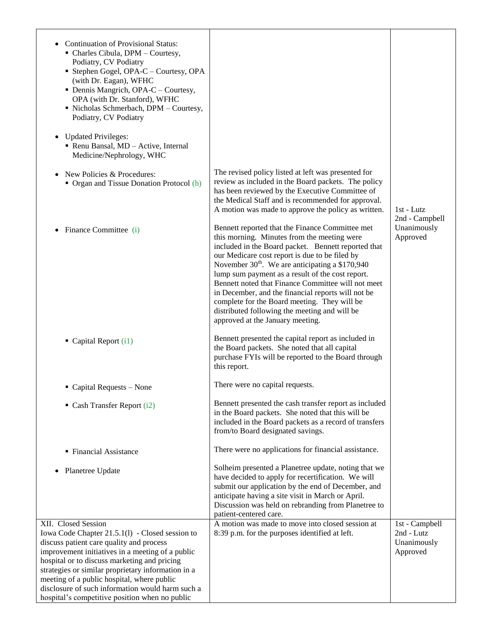| <b>Continuation of Provisional Status:</b><br>• Charles Cibula, DPM - Courtesy,<br>Podiatry, CV Podiatry<br>Stephen Gogel, OPA-C - Courtesy, OPA<br>(with Dr. Eagan), WFHC<br>• Dennis Mangrich, OPA-C – Courtesy,<br>OPA (with Dr. Stanford), WFHC<br>• Nicholas Schmerbach, DPM - Courtesy,<br>Podiatry, CV Podiatry<br>• Updated Privileges:<br>Renu Bansal, MD - Active, Internal<br>Medicine/Nephrology, WHC                |                                                                                                                                                                                                                                                                                                                                                                                                                                                                                                                                                                             |                                                         |
|----------------------------------------------------------------------------------------------------------------------------------------------------------------------------------------------------------------------------------------------------------------------------------------------------------------------------------------------------------------------------------------------------------------------------------|-----------------------------------------------------------------------------------------------------------------------------------------------------------------------------------------------------------------------------------------------------------------------------------------------------------------------------------------------------------------------------------------------------------------------------------------------------------------------------------------------------------------------------------------------------------------------------|---------------------------------------------------------|
| New Policies & Procedures:<br>• Organ and Tissue Donation Protocol (h)                                                                                                                                                                                                                                                                                                                                                           | The revised policy listed at left was presented for<br>review as included in the Board packets. The policy<br>has been reviewed by the Executive Committee of<br>the Medical Staff and is recommended for approval.<br>A motion was made to approve the policy as written.                                                                                                                                                                                                                                                                                                  | $1st - Lutz$<br>2nd - Campbell                          |
| Finance Committee (i)                                                                                                                                                                                                                                                                                                                                                                                                            | Bennett reported that the Finance Committee met<br>this morning. Minutes from the meeting were<br>included in the Board packet. Bennett reported that<br>our Medicare cost report is due to be filed by<br>November 30 <sup>th</sup> . We are anticipating a \$170,940<br>lump sum payment as a result of the cost report.<br>Bennett noted that Finance Committee will not meet<br>in December, and the financial reports will not be<br>complete for the Board meeting. They will be<br>distributed following the meeting and will be<br>approved at the January meeting. | Unanimously<br>Approved                                 |
| $\blacksquare$ Capital Report (i1)                                                                                                                                                                                                                                                                                                                                                                                               | Bennett presented the capital report as included in<br>the Board packets. She noted that all capital<br>purchase FYIs will be reported to the Board through<br>this report.                                                                                                                                                                                                                                                                                                                                                                                                 |                                                         |
| $\blacksquare$ Capital Requests – None                                                                                                                                                                                                                                                                                                                                                                                           | There were no capital requests.                                                                                                                                                                                                                                                                                                                                                                                                                                                                                                                                             |                                                         |
| $\blacksquare$ Cash Transfer Report (i2)                                                                                                                                                                                                                                                                                                                                                                                         | Bennett presented the cash transfer report as included<br>in the Board packets. She noted that this will be<br>included in the Board packets as a record of transfers<br>from/to Board designated savings.                                                                                                                                                                                                                                                                                                                                                                  |                                                         |
| ■ Financial Assistance                                                                                                                                                                                                                                                                                                                                                                                                           | There were no applications for financial assistance.                                                                                                                                                                                                                                                                                                                                                                                                                                                                                                                        |                                                         |
| Planetree Update                                                                                                                                                                                                                                                                                                                                                                                                                 | Solheim presented a Planetree update, noting that we<br>have decided to apply for recertification. We will<br>submit our application by the end of December, and<br>anticipate having a site visit in March or April.<br>Discussion was held on rebranding from Planetree to<br>patient-centered care.                                                                                                                                                                                                                                                                      |                                                         |
| XII. Closed Session<br>Iowa Code Chapter 21.5.1(1) - Closed session to<br>discuss patient care quality and process<br>improvement initiatives in a meeting of a public<br>hospital or to discuss marketing and pricing<br>strategies or similar proprietary information in a<br>meeting of a public hospital, where public<br>disclosure of such information would harm such a<br>hospital's competitive position when no public | A motion was made to move into closed session at<br>8:39 p.m. for the purposes identified at left.                                                                                                                                                                                                                                                                                                                                                                                                                                                                          | 1st - Campbell<br>2nd - Lutz<br>Unanimously<br>Approved |